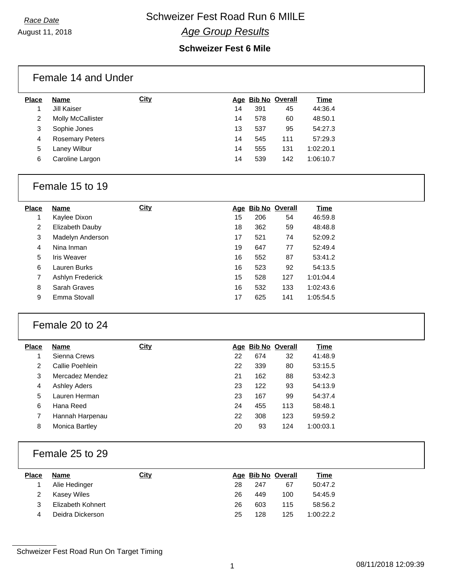August 11, 2018

## *Age Group Results*

#### **Schweizer Fest 6 Mile**

|              | Female 14 and Under    |      |    |     |                    |           |
|--------------|------------------------|------|----|-----|--------------------|-----------|
| <b>Place</b> | Name                   | City |    |     | Age Bib No Overall | Time      |
|              | Jill Kaiser            |      | 14 | 391 | 45                 | 44:36.4   |
| 2            | Molly McCallister      |      | 14 | 578 | 60                 | 48:50.1   |
| 3            | Sophie Jones           |      | 13 | 537 | 95                 | 54:27.3   |
| 4            | <b>Rosemary Peters</b> |      | 14 | 545 | 111                | 57:29.3   |
| 5            | Laney Wilbur           |      | 14 | 555 | 131                | 1:02:20.1 |
| 6            | Caroline Largon        |      | 14 | 539 | 142                | 1:06:10.7 |
|              |                        |      |    |     |                    |           |

### Female 15 to 19

| <b>Place</b> | Name               | <b>City</b> |    | Age Bib No Overall |     | Time      |
|--------------|--------------------|-------------|----|--------------------|-----|-----------|
| 1            | Kaylee Dixon       |             | 15 | 206                | 54  | 46:59.8   |
| 2            | Elizabeth Dauby    |             | 18 | 362                | 59  | 48:48.8   |
| 3            | Madelyn Anderson   |             | 17 | 521                | 74  | 52:09.2   |
| 4            | Nina Inman         |             | 19 | 647                | 77  | 52:49.4   |
| 5            | <b>Iris Weaver</b> |             | 16 | 552                | 87  | 53:41.2   |
| 6            | Lauren Burks       |             | 16 | 523                | 92  | 54:13.5   |
| 7            | Ashlyn Frederick   |             | 15 | 528                | 127 | 1:01:04.4 |
| 8            | Sarah Graves       |             | 16 | 532                | 133 | 1:02:43.6 |
| 9            | Emma Stovall       |             | 17 | 625                | 141 | 1:05:54.5 |

### Female 20 to 24

| <b>Place</b> | Name                  | City |    | Age Bib No Overall |     | Time      |
|--------------|-----------------------|------|----|--------------------|-----|-----------|
|              | Sienna Crews          |      | 22 | 674                | 32  | 41:48.9   |
| 2            | Callie Poehlein       |      | 22 | 339                | 80  | 53:15.5   |
| 3            | Mercadez Mendez       |      | 21 | 162                | 88  | 53:42.3   |
| 4            | Ashley Aders          |      | 23 | 122                | 93  | 54:13.9   |
| 5            | Lauren Herman         |      | 23 | 167                | 99  | 54:37.4   |
| 6            | Hana Reed             |      | 24 | 455                | 113 | 58:48.1   |
| 7            | Hannah Harpenau       |      | 22 | 308                | 123 | 59:59.2   |
| 8            | <b>Monica Bartley</b> |      | 20 | 93                 | 124 | 1:00:03.1 |
|              |                       |      |    |                    |     |           |

### Female 25 to 29

| <b>Place</b> | Name              | <u>City</u> |    |     | Age Bib No Overall | <u>Time</u> |
|--------------|-------------------|-------------|----|-----|--------------------|-------------|
|              | Alie Hedinger     |             | 28 | 247 | 67                 | 50:47.2     |
|              | Kasey Wiles       |             | 26 | 449 | 100                | 54:45.9     |
| 3            | Elizabeth Kohnert |             | 26 | 603 | 115                | 58:56.2     |
| 4            | Deidra Dickerson  |             | 25 | 128 | 125                | 1:00:22.2   |

Schweizer Fest Road Run On Target Timing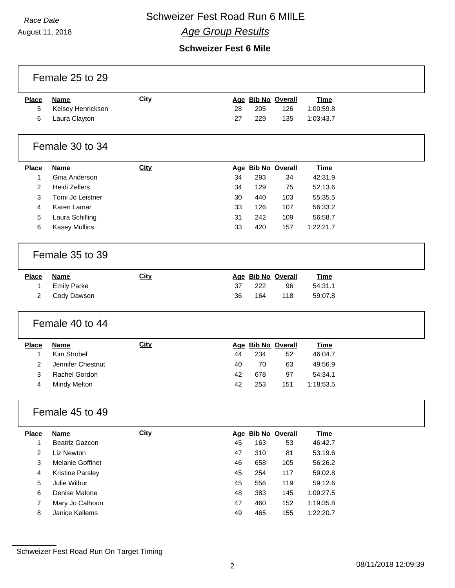# **Race Date Schweizer Fest Road Run 6 MIILE** *Age Group Results*

August 11, 2018

### **Schweizer Fest 6 Mile**

|                   | Female 25 to 29                         |             |    |            |                           |                          |  |
|-------------------|-----------------------------------------|-------------|----|------------|---------------------------|--------------------------|--|
| <b>Place</b><br>5 | <b>Name</b><br>Kelsey Henrickson        | <b>City</b> | 28 | 205        | Age Bib No Overall<br>126 | <b>Time</b><br>1:00:59.8 |  |
| 6                 | Laura Clayton                           |             | 27 | 229        | 135                       | 1:03:43.7                |  |
|                   | Female 30 to 34                         |             |    |            |                           |                          |  |
| <b>Place</b>      | <b>Name</b>                             | City        |    |            | Age Bib No Overall        | <b>Time</b>              |  |
| 1                 | Gina Anderson                           |             | 34 | 293        | 34                        | 42:31.9                  |  |
| $\overline{2}$    | <b>Heidi Zellers</b>                    |             | 34 | 129        | 75                        | 52:13.6                  |  |
| 3                 | Tomi Jo Leistner                        |             | 30 | 440        | 103                       | 55:35.5                  |  |
| 4                 | Karen Lamar                             |             | 33 | 126<br>242 | 107                       | 56:33.2                  |  |
| 5                 | Laura Schilling<br><b>Kasey Mullins</b> |             | 31 |            | 109                       | 56:58.7                  |  |
| 6                 |                                         |             | 33 | 420        | 157                       | 1:22:21.7                |  |
|                   | Female 35 to 39                         |             |    |            |                           |                          |  |
| <b>Place</b>      | <b>Name</b>                             | <b>City</b> |    |            | Age Bib No Overall        | <b>Time</b>              |  |
| 1                 | <b>Emily Parke</b>                      |             | 37 | 222        | 96                        | 54:31.1                  |  |
| $\overline{2}$    | Cody Dawson                             |             | 36 | 164        | 118                       | 59:07.8                  |  |
|                   | Female 40 to 44                         |             |    |            |                           |                          |  |
| <b>Place</b>      | <b>Name</b>                             | City        |    |            | Age Bib No Overall        | <b>Time</b>              |  |
| 1                 | Kim Strobel                             |             | 44 | 234        | 52                        | 46:04.7                  |  |
| $\overline{c}$    | Jennifer Chestnut                       |             | 40 | 70         | 63                        | 49:56.9                  |  |
| 3                 | Rachel Gordon                           |             | 42 | 678        | 97                        | 54:34.1                  |  |
| 4                 | <b>Mindy Melton</b>                     |             | 42 | 253        | 151                       | 1:18:53.5                |  |
|                   | Female 45 to 49                         |             |    |            |                           |                          |  |
| <b>Place</b>      | <b>Name</b>                             | <b>City</b> |    |            | Age Bib No Overall        | <b>Time</b>              |  |
| $\mathbf{1}$      | Beatriz Gazcon                          |             | 45 | 163        | 53                        | 46:42.7                  |  |
| 2                 | Liz Newton                              |             | 47 | 310        | 81                        | 53:19.6                  |  |
| 3                 | Melanie Goffinet                        |             | 46 | 658        | 105                       | 56:26.2                  |  |
| 4                 | <b>Kristine Parsley</b>                 |             | 45 | 254        | 117                       | 59:02.8                  |  |
| 5                 | Julie Wilbur                            |             | 45 | 556        | 119                       | 59:12.6                  |  |
| 6                 | Denise Malone                           |             | 48 | 383        | 145                       | 1:09:27.5                |  |
| 7                 | Mary Jo Calhoun                         |             | 47 | 460        | 152                       | 1:19:35.8                |  |
| 8                 | Janice Kellems                          |             | 49 | 465        | 155                       | 1:22:20.7                |  |
|                   |                                         |             |    |            |                           |                          |  |

Schweizer Fest Road Run On Target Timing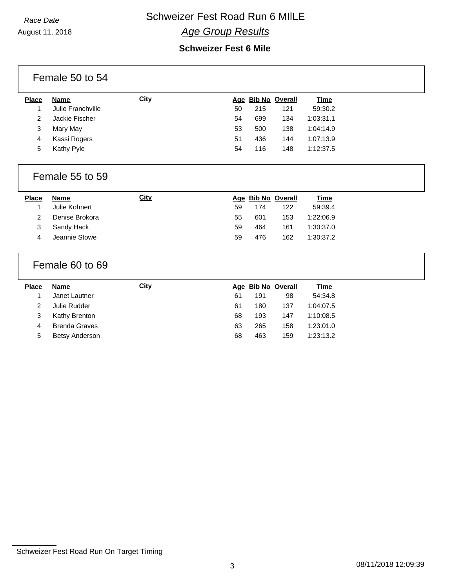August 11, 2018

### *Age Group Results*

### **Schweizer Fest 6 Mile**

|                | Female 50 to 54      |             |    |     |                    |             |  |
|----------------|----------------------|-------------|----|-----|--------------------|-------------|--|
| <b>Place</b>   | <b>Name</b>          | <b>City</b> |    |     | Age Bib No Overall | <b>Time</b> |  |
| 1              | Julie Franchville    |             | 50 | 215 | 121                | 59:30.2     |  |
| $\overline{2}$ | Jackie Fischer       |             | 54 | 699 | 134                | 1:03:31.1   |  |
| 3              | Mary May             |             | 53 | 500 | 138                | 1:04:14.9   |  |
| 4              | Kassi Rogers         |             | 51 | 436 | 144                | 1:07:13.9   |  |
| 5              | Kathy Pyle           |             | 54 | 116 | 148                | 1:12:37.5   |  |
|                | Female 55 to 59      |             |    |     |                    |             |  |
| Place          | <b>Name</b>          | <b>City</b> |    |     | Age Bib No Overall | <b>Time</b> |  |
| 1              | Julie Kohnert        |             | 59 | 174 | 122                | 59:39.4     |  |
| 2              | Denise Brokora       |             | 55 | 601 | 153                | 1:22:06.9   |  |
| 3              | Sandy Hack           |             | 59 | 464 | 161                | 1:30:37.0   |  |
| 4              | Jeannie Stowe        |             | 59 | 476 | 162                | 1:30:37.2   |  |
|                | Female 60 to 69      |             |    |     |                    |             |  |
| <b>Place</b>   | <b>Name</b>          | <b>City</b> |    |     | Age Bib No Overall | <b>Time</b> |  |
| 1              | Janet Lautner        |             | 61 | 191 | 98                 | 54:34.8     |  |
| $\overline{2}$ | Julie Rudder         |             | 61 | 180 | 137                | 1:04:07.5   |  |
| 3              | Kathy Brenton        |             | 68 | 193 | 147                | 1:10:08.5   |  |
|                |                      |             |    |     |                    |             |  |
| 4              | <b>Brenda Graves</b> |             | 63 | 265 | 158                | 1:23:01.0   |  |

Schweizer Fest Road Run On Target Timing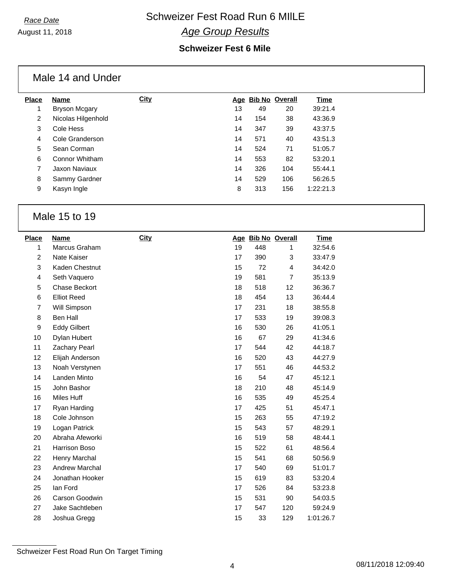### *Age Group Results*

### **Schweizer Fest 6 Mile**

|                | Male 14 and Under    |             |    |     |                    |           |
|----------------|----------------------|-------------|----|-----|--------------------|-----------|
| <b>Place</b>   | <b>Name</b>          | <b>City</b> |    |     | Age Bib No Overall | Time      |
| 1              | <b>Bryson Mcgary</b> |             | 13 | 49  | 20                 | 39:21.4   |
| 2              | Nicolas Hilgenhold   |             | 14 | 154 | 38                 | 43:36.9   |
| 3              | Cole Hess            |             | 14 | 347 | 39                 | 43:37.5   |
| $\overline{4}$ | Cole Granderson      |             | 14 | 571 | 40                 | 43:51.3   |
| 5              | Sean Corman          |             | 14 | 524 | 71                 | 51:05.7   |
| 6              | Connor Whitham       |             | 14 | 553 | 82                 | 53:20.1   |
| 7              | Jaxon Naviaux        |             | 14 | 326 | 104                | 55:44.1   |
| 8              | Sammy Gardner        |             | 14 | 529 | 106                | 56:26.5   |
| 9              | Kasyn Ingle          |             | 8  | 313 | 156                | 1:22:21.3 |
|                |                      |             |    |     |                    |           |

### Male 15 to 19

| <b>Place</b>   | <b>Name</b>           | City |    | Age Bib No Overall |                | <b>Time</b> |
|----------------|-----------------------|------|----|--------------------|----------------|-------------|
| 1              | Marcus Graham         |      | 19 | 448                | 1              | 32:54.6     |
| $\overline{2}$ | Nate Kaiser           |      | 17 | 390                | 3              | 33:47.9     |
| 3              | Kaden Chestnut        |      | 15 | 72                 | 4              | 34:42.0     |
| 4              | Seth Vaquero          |      | 19 | 581                | $\overline{7}$ | 35:13.9     |
| 5              | <b>Chase Beckort</b>  |      | 18 | 518                | 12             | 36:36.7     |
| 6              | <b>Elliot Reed</b>    |      | 18 | 454                | 13             | 36:44.4     |
| $\overline{7}$ | Will Simpson          |      | 17 | 231                | 18             | 38:55.8     |
| 8              | Ben Hall              |      | 17 | 533                | 19             | 39:08.3     |
| 9              | <b>Eddy Gilbert</b>   |      | 16 | 530                | 26             | 41:05.1     |
| 10             | Dylan Hubert          |      | 16 | 67                 | 29             | 41:34.6     |
| 11             | Zachary Pearl         |      | 17 | 544                | 42             | 44:18.7     |
| 12             | Elijah Anderson       |      | 16 | 520                | 43             | 44:27.9     |
| 13             | Noah Verstynen        |      | 17 | 551                | 46             | 44:53.2     |
| 14             | Landen Minto          |      | 16 | 54                 | 47             | 45:12.1     |
| 15             | John Bashor           |      | 18 | 210                | 48             | 45:14.9     |
| 16             | Miles Huff            |      | 16 | 535                | 49             | 45:25.4     |
| 17             | Ryan Harding          |      | 17 | 425                | 51             | 45:47.1     |
| 18             | Cole Johnson          |      | 15 | 263                | 55             | 47:19.2     |
| 19             | Logan Patrick         |      | 15 | 543                | 57             | 48:29.1     |
| 20             | Abraha Afeworki       |      | 16 | 519                | 58             | 48:44.1     |
| 21             | Harrison Boso         |      | 15 | 522                | 61             | 48:56.4     |
| 22             | Henry Marchal         |      | 15 | 541                | 68             | 50:56.9     |
| 23             | <b>Andrew Marchal</b> |      | 17 | 540                | 69             | 51:01.7     |
| 24             | Jonathan Hooker       |      | 15 | 619                | 83             | 53:20.4     |
| 25             | lan Ford              |      | 17 | 526                | 84             | 53:23.8     |
| 26             | Carson Goodwin        |      | 15 | 531                | 90             | 54:03.5     |
| 27             | Jake Sachtleben       |      | 17 | 547                | 120            | 59:24.9     |
| 28             | Joshua Gregg          |      | 15 | 33                 | 129            | 1:01:26.7   |

Schweizer Fest Road Run On Target Timing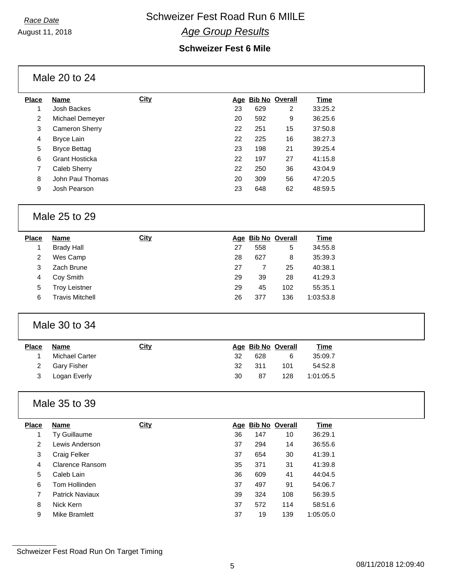August 11, 2018

# *Age Group Results*

### **Schweizer Fest 6 Mile**

Male 20 to 24

| <b>Place</b>   | Name                | <b>City</b> |    |     | Age Bib No Overall | Time    |
|----------------|---------------------|-------------|----|-----|--------------------|---------|
|                | Josh Backes         |             | 23 | 629 | $\overline{2}$     | 33:25.2 |
| $\overline{2}$ | Michael Demeyer     |             | 20 | 592 | 9                  | 36:25.6 |
| 3              | Cameron Sherry      |             | 22 | 251 | 15                 | 37:50.8 |
| 4              | Bryce Lain          |             | 22 | 225 | 16                 | 38:27.3 |
| 5              | <b>Bryce Bettag</b> |             | 23 | 198 | 21                 | 39:25.4 |
| 6              | Grant Hosticka      |             | 22 | 197 | 27                 | 41:15.8 |
| 7              | Caleb Sherry        |             | 22 | 250 | 36                 | 43:04.9 |
| 8              | John Paul Thomas    |             | 20 | 309 | 56                 | 47:20.5 |
| 9              | Josh Pearson        |             | 23 | 648 | 62                 | 48:59.5 |
|                |                     |             |    |     |                    |         |

### Male 25 to 29

| <b>Place</b> | <b>Name</b>          | <b>City</b> |    |     | Age Bib No Overall | <u>Time</u> |
|--------------|----------------------|-------------|----|-----|--------------------|-------------|
|              | <b>Brady Hall</b>    |             | 27 | 558 | 5                  | 34:55.8     |
| 2            | Wes Camp             |             | 28 | 627 | 8                  | 35:39.3     |
| 3            | Zach Brune           |             | 27 |     | 25                 | 40:38.1     |
| 4            | Cov Smith            |             | 29 | 39  | 28                 | 41:29.3     |
| 5            | <b>Troy Leistner</b> |             | 29 | 45  | 102                | 55:35.1     |
| 6            | Travis Mitchell      |             | 26 | 377 | 136                | 1:03:53.8   |

### Male 30 to 34

| <b>Place</b> | Name           | <u>City</u> |    |     | Age Bib No Overall | <u>Time</u> |
|--------------|----------------|-------------|----|-----|--------------------|-------------|
|              | Michael Carter |             | 32 | 628 | 6                  | 35:09.7     |
|              | 2 Gary Fisher  |             | 32 | 311 | 101                | 54:52.8     |
| 3            | Logan Everly   |             | 30 | 87  | 128                | 1:01:05.5   |

### Male 35 to 39

| <b>Place</b> | <b>Name</b>            | <b>City</b> |    |     | Age Bib No Overall | Time      |
|--------------|------------------------|-------------|----|-----|--------------------|-----------|
|              | Ty Guillaume           |             | 36 | 147 | 10                 | 36:29.1   |
| 2            | Lewis Anderson         |             | 37 | 294 | 14                 | 36:55.6   |
| 3            | Craig Felker           |             | 37 | 654 | 30                 | 41:39.1   |
| 4            | Clarence Ransom        |             | 35 | 371 | 31                 | 41:39.8   |
| 5            | Caleb Lain             |             | 36 | 609 | 41                 | 44:04.5   |
| 6            | Tom Hollinden          |             | 37 | 497 | 91                 | 54:06.7   |
| 7            | <b>Patrick Naviaux</b> |             | 39 | 324 | 108                | 56:39.5   |
| 8            | Nick Kern              |             | 37 | 572 | 114                | 58:51.6   |
| 9            | Mike Bramlett          |             | 37 | 19  | 139                | 1:05:05.0 |

Schweizer Fest Road Run On Target Timing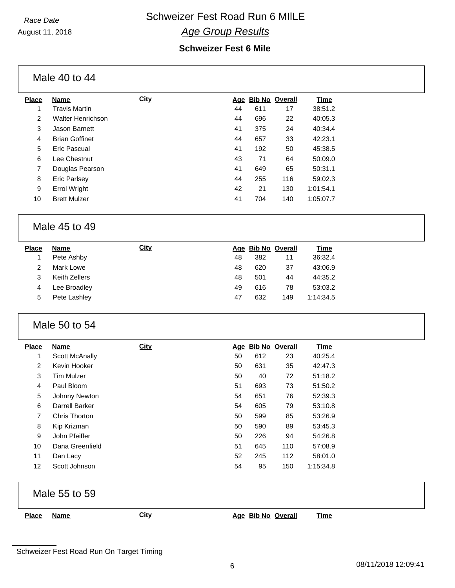August 11, 2018

## **Race Date Schweizer Fest Road Run 6 MIILE** *Age Group Results*

#### **Schweizer Fest 6 Mile**

Male 40 to 44

| Place          | <b>Name</b>              | <b>City</b> | Age |     | <b>Bib No Overall</b> | Time      |
|----------------|--------------------------|-------------|-----|-----|-----------------------|-----------|
| 1              | <b>Travis Martin</b>     |             | 44  | 611 | 17                    | 38:51.2   |
| $\overline{2}$ | <b>Walter Henrichson</b> |             | 44  | 696 | 22                    | 40:05.3   |
| 3              | Jason Barnett            |             | 41  | 375 | 24                    | 40:34.4   |
| 4              | <b>Brian Goffinet</b>    |             | 44  | 657 | 33                    | 42:23.1   |
| 5              | Eric Pascual             |             | 41  | 192 | 50                    | 45:38.5   |
| 6              | Lee Chestnut             |             | 43  | 71  | 64                    | 50:09.0   |
| 7              | Douglas Pearson          |             | 41  | 649 | 65                    | 50:31.1   |
| 8              | <b>Eric Parlsey</b>      |             | 44  | 255 | 116                   | 59:02.3   |
| 9              | <b>Errol Wright</b>      |             | 42  | 21  | 130                   | 1:01:54.1 |
| 10             | <b>Brett Mulzer</b>      |             | 41  | 704 | 140                   | 1:05:07.7 |
|                |                          |             |     |     |                       |           |

### Male 45 to 49

| <b>Place</b> | <b>Name</b>   | <u>City</u> |    |     | Age Bib No Overall | <u>Time</u> |
|--------------|---------------|-------------|----|-----|--------------------|-------------|
|              | Pete Ashby    |             | 48 | 382 | 11                 | 36:32.4     |
|              | Mark Lowe     |             | 48 | 620 | 37                 | 43:06.9     |
|              | Keith Zellers |             | 48 | 501 | 44                 | 44:35.2     |
| 4            | Lee Broadley  |             | 49 | 616 | 78                 | 53:03.2     |
| 5            | Pete Lashley  |             | 47 | 632 | 149                | 1:14:34.5   |
|              |               |             |    |     |                    |             |

### Male 50 to 54

| <b>Place</b>   | Name              | <b>City</b> |    |     | Age Bib No Overall | Time      |
|----------------|-------------------|-------------|----|-----|--------------------|-----------|
| 1              | Scott McAnally    |             | 50 | 612 | 23                 | 40:25.4   |
| $\overline{2}$ | Kevin Hooker      |             | 50 | 631 | 35                 | 42:47.3   |
| 3              | <b>Tim Mulzer</b> |             | 50 | 40  | 72                 | 51:18.2   |
| 4              | Paul Bloom        |             | 51 | 693 | 73                 | 51:50.2   |
| 5              | Johnny Newton     |             | 54 | 651 | 76                 | 52:39.3   |
| 6              | Darrell Barker    |             | 54 | 605 | 79                 | 53:10.8   |
| 7              | Chris Thorton     |             | 50 | 599 | 85                 | 53:26.9   |
| 8              | Kip Krizman       |             | 50 | 590 | 89                 | 53:45.3   |
| 9              | John Pfeiffer     |             | 50 | 226 | 94                 | 54:26.8   |
| 10             | Dana Greenfield   |             | 51 | 645 | 110                | 57:08.9   |
| 11             | Dan Lacy          |             | 52 | 245 | 112                | 58:01.0   |
| 12             | Scott Johnson     |             | 54 | 95  | 150                | 1:15:34.8 |

Male 55 to 59

**Place Name City Age Bib No Overall Time**